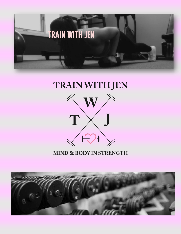

### TRAIN WITH JEN



#### **MIND & BODY IN STRENGTH**

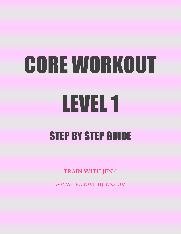# CORE WORKOUT LEVEL 1 STEP BY STEP GUIDE

**TRAIN WITH JEN ©**

**WWW.TRAINWITHJENN.COM**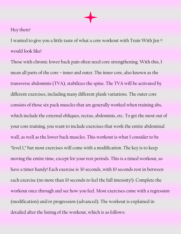#### Hey there!

I wanted to give you a little taste of what a core workout with Train With Jen © would look like!

Those with chronic lower back pain often need core strengthening. With this, I mean all parts of the core – inner and outer. The inner core, also known as the transverse abdominis (TVA), stabilizes the spine. The TVA will be activated by different exercises, including many different plank variations. The outer core consists of those six pack muscles that are generally worked when training abs, which include the external obliques, rectus, abdominis, etc. To get the most out of your core training, you want to include exercises that work the entire abdominal wall, as well as the lower back muscles. This workout is what I consider to be "level 1," but most exercises will come with a modification. The key is to keep moving the entire time, except for your rest periods. This is a timed workout, so have a timer handy! Each exercise is 30 seconds, with 10 seconds rest in between each exercise (no more than 10 seconds to feel the full intensity!). Complete the workout once through and see how you feel. Most exercises come with a regression (modification) and/or progression (advanced). The workout is explained in detailed after the listing of the workout, which is as follows: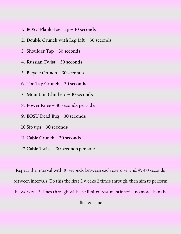- **1. BOSU Plank Toe Tap – 30 seconds**
- **2. Double Crunch with Leg Lift – 30 seconds**
- **3. Shoulder Tap – 30 seconds**
- **4. Russian Twist – 30 seconds**
- **5. Bicycle Crunch – 30 seconds**
- **6. Toe Tap Crunch – 30 seconds**
- **7. Mountain Climbers – 30 seconds**
- **8. Power Knee – 30 seconds per side**
- **9. BOSU Dead Bug – 30 seconds**
- **10.Sit-ups – 30 seconds**
- **11. Cable Crunch – 30 seconds**
- **12.Cable Twist – 30 seconds per side**

Repeat the interval with 10 seconds between each exercise, and 45-60 seconds between intervals. Do this the first 2 weeks 2 times through, then aim to perform the workout 3 times through with the limited rest mentioned – no more than the allotted time.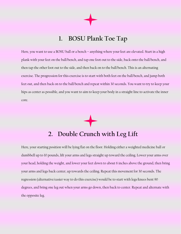**1. BOSU Plank Toe Tap**

Here, you want to use a BOSU ball or a bench – anything where your feet are elevated. Start in a high plank with your feet on the ball/bench, and tap one foot out to the side, back onto the ball/bench, and then tap the other foot out to the side, and then back on to the ball/bench. This is an alternating exercise. The progression for this exercise is to start with both feet on the ball/bench, and jump both feet out, and then back on to the ball/bench and repeat within 30 seconds. You want to try to keep your hips as center as possible, and you want to aim to keep your body in a straight line to activate the inner core.

#### **2. Double Crunch with Leg Lift**

Here, your starting position will be lying flat on the floor. Holding either a weighted medicine ball or dumbbell up to 10 pounds, lift your arms and legs straight up toward the ceiling. Lower your arms over your head, holding the weight, and lower your feet down to about 6 inches above the ground, then bring your arms and legs back center, up towards the ceiling. Repeat this movement for 30 seconds. The regression (alternative/easier way to do this exercise) would be to start with legs/knees bent 90 degrees, and bring one leg out when your arms go down, then back to center. Repeat and alternate with the opposite leg.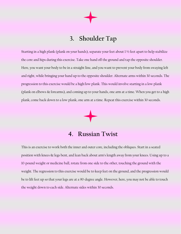#### **3. Shoulder Tap**

Starting in a high plank (plank on your hands), separate your feet about 1 ½ feet apart to help stabilize the core and hips during this exercise. Take one hand off the ground and tap the opposite shoulder. Here, you want your body to be in a straight line, and you want to prevent your body from swaying left and right, while bringing your hand up to the opposite shoulder. Alternate arms within 30 seconds. The progression to this exercise would be a high/low plank. This would involve starting in a low plank (plank on elbows & forearms), and coming up to your hands, one arm at a time. When you get to a high plank, come back down to a low plank, one arm at a time. Repeat this exercise within 30 seconds.



#### **4. Russian Twist**

This is an exercise to work both the inner and outer core, including the obliques. Start in a seated position with knees & legs bent, and lean back about arm's length away from your knees. Using up to a 10-pound weight or medicine ball, rotate from one side to the other, touching the ground with the weight. The regression to this exercise would be to keep feet on the ground, and the progression would be to lift feet up so that your legs are at a 90-degree angle. However, here, you may not be able to touch the weight down to each side. Alternate sides within 30 seconds.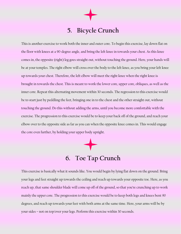#### **5. Bicycle Crunch**

This is another exercise to work both the inner and outer core. To begin this exercise, lay down flat on the floor with knees at a 90-degree angle, and bring the left knee in towards your chest. As this knee comes in, the opposite (right) leg goes straight out, without touching the ground. Here, your hands will be at your temples. The right elbow will cross over the body to the left knee, as you bring your left knee up towards your chest. Therefore, the left elbow will meet the right knee when the right knee is brought in towards the chest. This is meant to work the lower core, upper core, obliques, as well as the inner core. Repeat this alternating movement within 30 seconds. The regression to this exercise would be to start just by peddling the feet, bringing one in to the chest and the other straight out, without touching the ground. Do this without adding the arms, until you become more comfortable with the exercise. The progression to this exercise would be to keep your back off of the ground, and reach your elbow over to the opposite side as far as you can when the opposite knee comes in. This would engage the core even further, by holding your upper body upright.

## **6. Toe Tap Crunch**

This exercise is basically what it sounds like. You would begin by lying flat down on the ground. Bring your legs and feet straight up towards the ceiling and reach up towards your opposite toe. Here, as you reach up, that same shoulder blade will come up off of the ground, so that you're crunching up to work mainly the upper core. The progression to this exercise would be to keep both legs and knees bent 90 degrees, and reach up towards your feet with both arms at the same time. Here, your arms will be by your sides – not on top/over your legs. Perform this exercise within 30 seconds.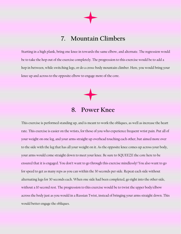#### **7. Mountain Climbers**

Starting in a high plank, bring one knee in towards the same elbow, and alternate. The regression would be to take the hop out of the exercise completely. The progression to this exercise would be to add a hop in between, while switching legs, or do a cross-body mountain climber. Here, you would bring your knee up and across to the opposite elbow to engage more of the core.

#### **8. Power Knee**

This exercise is performed standing up, and is meant to work the obliques, as well as increase the heart rate. This exercise is easier on the wrists, for those of you who experience frequent wrist pain. Put all of your weight on one leg, and your arms straight up overhead touching each other, but aimed more over to the side with the leg that has all your weight on it. As the opposite knee comes up across your body, your arms would come straight down to meet your knee. Be sure to SQUEEZE the core here to be ensured that it is engaged. You don't want to go through this exercise mindlessly! You also want to go for speed to get as many reps as you can within the 30 seconds per side. Repeat each side without alternating legs for 30 seconds each. When one side had been completed, go right into the other side, without a 10 second rest. The progression to this exercise would be to twist the upper body/elbow across the body just as you would in a Russian Twist, instead of bringing your arms straight down. This would better engage the obliques.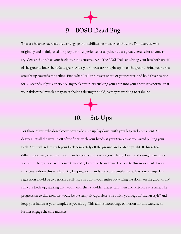### **9. BOSU Dead Bug**

This is a balance exercise, used to engage the stabilization muscles of the core. This exercise was originally and mainly used for people who experience wrist pain, but is a great exercise for anyone to try! Center the arch of your back over the center/curve of the BOSU ball, and bring your legs both up off of the ground, knees bent 90 degrees. After your knees are brought up off of the ground, bring your arms straight up towards the ceiling. Find what I call the "sweet spot," or your center, and hold this position for 30 seconds. If you experience any neck strain, try tucking your chin into your chest. It is normal that your abdominal muscles may start shaking during the hold, as they're working to stabilize.



For those of you who don't know how to do a sit-up, lay down with your legs and knees bent 90 degrees. Sit all the way up off of the floor, with your hands at your temples so you avoid pulling your neck. You will end up with your back completely off the ground and seated upright. If this is too difficult, you may start with your hands above your head as you're lying down, and swing them up as you sit up, to give yourself momentum and get your body and muscles used to this movement. Every time you perform this workout, try keeping your hands and your temples for at least one sit-up. The regression would be to perform a roll-up. Start with your entire body lying flat down on the ground, and roll your body up, starting with your head, then shoulder blades, and then one vertebrae at a time. The progression to this exercise would be butterfly sit-ups. Here, start with your legs in "Indian style" and keep your hands at your temples as you sit up. This allows more range of motion for this exercise to further engage the core muscles.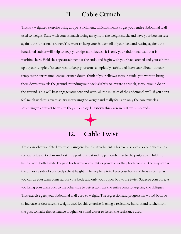#### **11. Cable Crunch**

This is a weighted exercise using a rope attachment, which is meant to get your entire abdominal wall used to weight. Start with your stomach facing away from the weight stack, and have your bottom rest against the functional trainer. You want to keep your bottom off of your feet, and resting against the functional trainer will help to keep your hips stabilized so it is only your abdominal wall that is working, here. Hold the rope attachment at the ends, and begin with your back arched and your elbows up at your temples. Do your best to keep your arms completely stable, and keep your elbows at your temples the entire time. As you crunch down, think of your elbows as your guide; you want to bring them down towards the ground, rounding your back slightly to imitate a crunch, as you would do on the ground. This will best engage your core and work all the muscles of the abdominal wall. If you don't feel much with this exercise, try increasing the weight and really focus on only the core muscles squeezing to contract to ensure they are engaged. Perform this exercise within 30 seconds.

### **12. Cable Twist**

This is another weighted exercise, using one handle attachment. This exercise can also be done using a resistance band, tied around a sturdy post. Start standing perpendicular to the post/cable. Hold the handle with both hands, keeping both arms as straight as possible, as they both come all the way across the opposite side of your body (chest height). The key here is to keep your body and hips as center as you can as your arms come across your body and only your upper body/core twist. Squeeze your core, as you bring your arms over to the other side to better activate the entire center, targeting the obliques. This exercise gets your abdominal wall used to weight. The regression and progression would both be to increase or decrease the weight used for this exercise. If using a resistance band, stand further from the post to make the resistance tougher, or stand closer to lessen the resistance used.